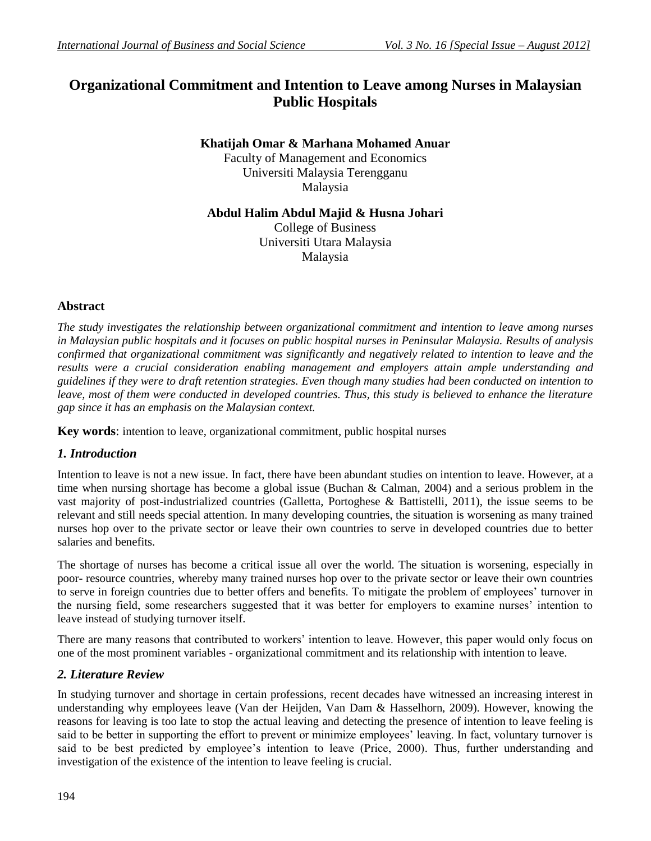# **Organizational Commitment and Intention to Leave among Nurses in Malaysian Public Hospitals**

## **Khatijah Omar & Marhana Mohamed Anuar**

Faculty of Management and Economics Universiti Malaysia Terengganu Malaysia

### **Abdul Halim Abdul Majid & Husna Johari**

College of Business Universiti Utara Malaysia Malaysia

# **Abstract**

*The study investigates the relationship between organizational commitment and intention to leave among nurses in Malaysian public hospitals and it focuses on public hospital nurses in Peninsular Malaysia. Results of analysis confirmed that organizational commitment was significantly and negatively related to intention to leave and the results were a crucial consideration enabling management and employers attain ample understanding and guidelines if they were to draft retention strategies. Even though many studies had been conducted on intention to leave, most of them were conducted in developed countries. Thus, this study is believed to enhance the literature gap since it has an emphasis on the Malaysian context.*

**Key words**: intention to leave, organizational commitment, public hospital nurses

### *1. Introduction*

Intention to leave is not a new issue. In fact, there have been abundant studies on intention to leave. However, at a time when nursing shortage has become a global issue (Buchan & Calman, 2004) and a serious problem in the vast majority of post-industrialized countries (Galletta, Portoghese & Battistelli, 2011), the issue seems to be relevant and still needs special attention. In many developing countries, the situation is worsening as many trained nurses hop over to the private sector or leave their own countries to serve in developed countries due to better salaries and benefits.

The shortage of nurses has become a critical issue all over the world. The situation is worsening, especially in poor- resource countries, whereby many trained nurses hop over to the private sector or leave their own countries to serve in foreign countries due to better offers and benefits. To mitigate the problem of employees' turnover in the nursing field, some researchers suggested that it was better for employers to examine nurses' intention to leave instead of studying turnover itself.

There are many reasons that contributed to workers' intention to leave. However, this paper would only focus on one of the most prominent variables - organizational commitment and its relationship with intention to leave.

### *2. Literature Review*

In studying turnover and shortage in certain professions, recent decades have witnessed an increasing interest in understanding why employees leave (Van der Heijden, Van Dam & Hasselhorn, 2009). However, knowing the reasons for leaving is too late to stop the actual leaving and detecting the presence of intention to leave feeling is said to be better in supporting the effort to prevent or minimize employees' leaving. In fact, voluntary turnover is said to be best predicted by employee's intention to leave (Price, 2000). Thus, further understanding and investigation of the existence of the intention to leave feeling is crucial.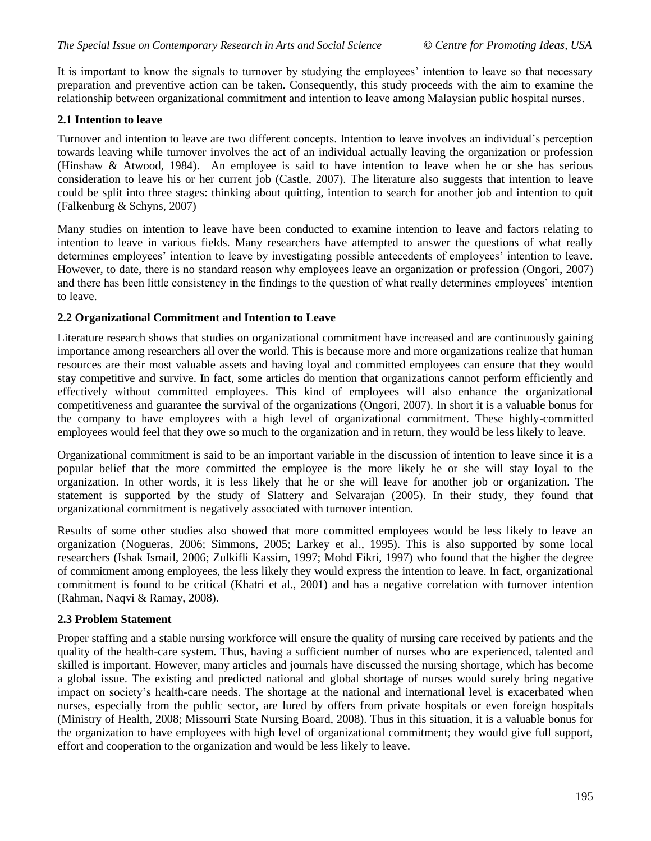It is important to know the signals to turnover by studying the employees' intention to leave so that necessary preparation and preventive action can be taken. Consequently, this study proceeds with the aim to examine the relationship between organizational commitment and intention to leave among Malaysian public hospital nurses.

### **2.1 Intention to leave**

Turnover and intention to leave are two different concepts. Intention to leave involves an individual's perception towards leaving while turnover involves the act of an individual actually leaving the organization or profession (Hinshaw & Atwood, 1984). An employee is said to have intention to leave when he or she has serious consideration to leave his or her current job (Castle, 2007). The literature also suggests that intention to leave could be split into three stages: thinking about quitting, intention to search for another job and intention to quit (Falkenburg & Schyns, 2007)

Many studies on intention to leave have been conducted to examine intention to leave and factors relating to intention to leave in various fields. Many researchers have attempted to answer the questions of what really determines employees' intention to leave by investigating possible antecedents of employees' intention to leave. However, to date, there is no standard reason why employees leave an organization or profession (Ongori, 2007) and there has been little consistency in the findings to the question of what really determines employees' intention to leave.

#### **2.2 Organizational Commitment and Intention to Leave**

Literature research shows that studies on organizational commitment have increased and are continuously gaining importance among researchers all over the world. This is because more and more organizations realize that human resources are their most valuable assets and having loyal and committed employees can ensure that they would stay competitive and survive. In fact, some articles do mention that organizations cannot perform efficiently and effectively without committed employees. This kind of employees will also enhance the organizational competitiveness and guarantee the survival of the organizations (Ongori, 2007). In short it is a valuable bonus for the company to have employees with a high level of organizational commitment. These highly-committed employees would feel that they owe so much to the organization and in return, they would be less likely to leave.

Organizational commitment is said to be an important variable in the discussion of intention to leave since it is a popular belief that the more committed the employee is the more likely he or she will stay loyal to the organization. In other words, it is less likely that he or she will leave for another job or organization. The statement is supported by the study of Slattery and Selvarajan (2005). In their study, they found that organizational commitment is negatively associated with turnover intention.

Results of some other studies also showed that more committed employees would be less likely to leave an organization (Nogueras, 2006; Simmons, 2005; Larkey et al., 1995). This is also supported by some local researchers (Ishak Ismail, 2006; Zulkifli Kassim, 1997; Mohd Fikri, 1997) who found that the higher the degree of commitment among employees, the less likely they would express the intention to leave. In fact, organizational commitment is found to be critical (Khatri et al., 2001) and has a negative correlation with turnover intention (Rahman, Naqvi & Ramay, 2008).

### **2.3 Problem Statement**

Proper staffing and a stable nursing workforce will ensure the quality of nursing care received by patients and the quality of the health-care system. Thus, having a sufficient number of nurses who are experienced, talented and skilled is important. However, many articles and journals have discussed the nursing shortage, which has become a global issue. The existing and predicted national and global shortage of nurses would surely bring negative impact on society's health-care needs. The shortage at the national and international level is exacerbated when nurses, especially from the public sector, are lured by offers from private hospitals or even foreign hospitals (Ministry of Health, 2008; Missourri State Nursing Board, 2008). Thus in this situation, it is a valuable bonus for the organization to have employees with high level of organizational commitment; they would give full support, effort and cooperation to the organization and would be less likely to leave.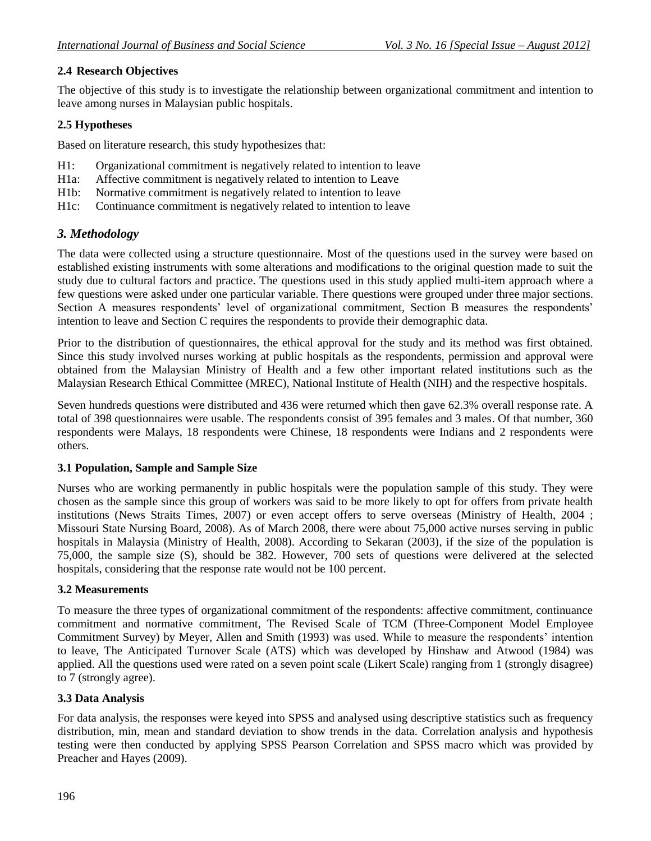## **2.4 Research Objectives**

The objective of this study is to investigate the relationship between organizational commitment and intention to leave among nurses in Malaysian public hospitals.

#### **2.5 Hypotheses**

Based on literature research, this study hypothesizes that:

- H1: Organizational commitment is negatively related to intention to leave
- H1a: Affective commitment is negatively related to intention to Leave
- H1b: Normative commitment is negatively related to intention to leave
- H1c: Continuance commitment is negatively related to intention to leave

## *3. Methodology*

The data were collected using a structure questionnaire. Most of the questions used in the survey were based on established existing instruments with some alterations and modifications to the original question made to suit the study due to cultural factors and practice. The questions used in this study applied multi-item approach where a few questions were asked under one particular variable. There questions were grouped under three major sections. Section A measures respondents' level of organizational commitment, Section B measures the respondents' intention to leave and Section C requires the respondents to provide their demographic data.

Prior to the distribution of questionnaires, the ethical approval for the study and its method was first obtained. Since this study involved nurses working at public hospitals as the respondents, permission and approval were obtained from the Malaysian Ministry of Health and a few other important related institutions such as the Malaysian Research Ethical Committee (MREC), National Institute of Health (NIH) and the respective hospitals.

Seven hundreds questions were distributed and 436 were returned which then gave 62.3% overall response rate. A total of 398 questionnaires were usable. The respondents consist of 395 females and 3 males. Of that number, 360 respondents were Malays, 18 respondents were Chinese, 18 respondents were Indians and 2 respondents were others.

#### **3.1 Population, Sample and Sample Size**

Nurses who are working permanently in public hospitals were the population sample of this study. They were chosen as the sample since this group of workers was said to be more likely to opt for offers from private health institutions (News Straits Times, 2007) or even accept offers to serve overseas (Ministry of Health, 2004 ; Missouri State Nursing Board, 2008). As of March 2008, there were about 75,000 active nurses serving in public hospitals in Malaysia (Ministry of Health, 2008). According to Sekaran (2003), if the size of the population is 75,000, the sample size (S), should be 382. However, 700 sets of questions were delivered at the selected hospitals, considering that the response rate would not be 100 percent.

### **3.2 Measurements**

To measure the three types of organizational commitment of the respondents: affective commitment, continuance commitment and normative commitment, The Revised Scale of TCM (Three-Component Model Employee Commitment Survey) by Meyer, Allen and Smith (1993) was used. While to measure the respondents' intention to leave, The Anticipated Turnover Scale (ATS) which was developed by Hinshaw and Atwood (1984) was applied. All the questions used were rated on a seven point scale (Likert Scale) ranging from 1 (strongly disagree) to 7 (strongly agree).

#### **3.3 Data Analysis**

For data analysis, the responses were keyed into SPSS and analysed using descriptive statistics such as frequency distribution, min, mean and standard deviation to show trends in the data. Correlation analysis and hypothesis testing were then conducted by applying SPSS Pearson Correlation and SPSS macro which was provided by Preacher and Hayes (2009).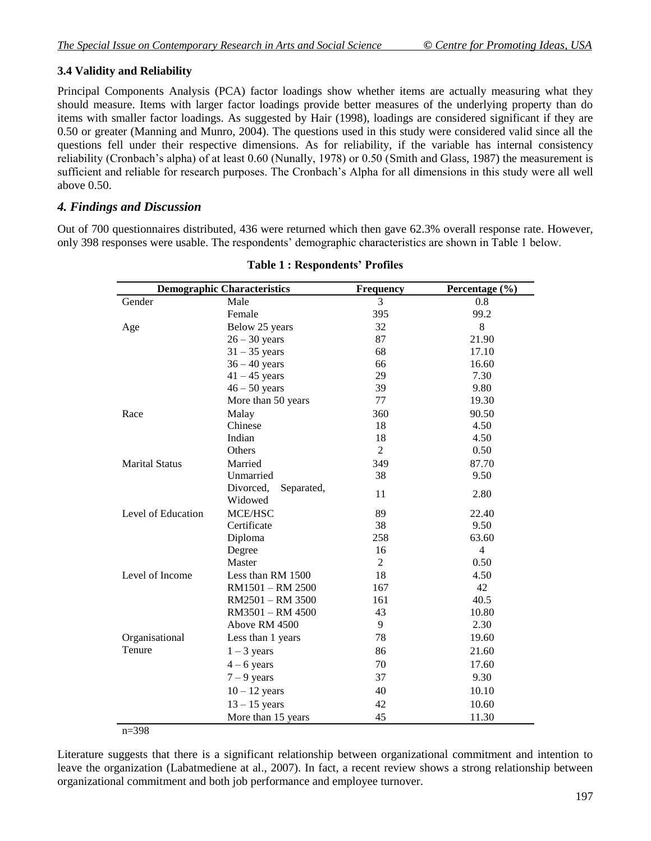## **3.4 Validity and Reliability**

Principal Components Analysis (PCA) factor loadings show whether items are actually measuring what they should measure. Items with larger factor loadings provide better measures of the underlying property than do items with smaller factor loadings. As suggested by Hair (1998), loadings are considered significant if they are 0.50 or greater (Manning and Munro, 2004). The questions used in this study were considered valid since all the questions fell under their respective dimensions. As for reliability, if the variable has internal consistency reliability (Cronbach's alpha) of at least 0.60 (Nunally, 1978) or 0.50 (Smith and Glass, 1987) the measurement is sufficient and reliable for research purposes. The Cronbach's Alpha for all dimensions in this study were all well above 0.50.

### *4. Findings and Discussion*

Out of 700 questionnaires distributed, 436 were returned which then gave 62.3% overall response rate. However, only 398 responses were usable. The respondents' demographic characteristics are shown in Table 1 below.

| <b>Demographic Characteristics</b> |                                    | Frequency      | Percentage (%) |
|------------------------------------|------------------------------------|----------------|----------------|
| Gender                             | Male                               | 3              | 0.8            |
|                                    | Female                             | 395            | 99.2           |
| Age                                | Below 25 years                     | 32             | 8              |
|                                    | $26 - 30$ years                    | 87             | 21.90          |
|                                    | $31 - 35$ years                    | 68             | 17.10          |
|                                    | $36 - 40$ years                    | 66             | 16.60          |
|                                    | $41 - 45$ years                    | 29             | 7.30           |
|                                    | $46 - 50$ years                    | 39             | 9.80           |
|                                    | More than 50 years                 | 77             | 19.30          |
| Race                               | Malay                              | 360            | 90.50          |
|                                    | Chinese                            | 18             | 4.50           |
|                                    | Indian                             | 18             | 4.50           |
|                                    | Others                             | $\overline{2}$ | 0.50           |
| <b>Marital Status</b>              | Married                            | 349            | 87.70          |
|                                    | Unmarried                          | 38             | 9.50           |
|                                    | Divorced,<br>Separated,<br>Widowed | 11             | 2.80           |
| Level of Education                 | MCE/HSC                            | 89             | 22.40          |
|                                    | Certificate                        | 38             | 9.50           |
|                                    | Diploma                            | 258            | 63.60          |
|                                    | Degree                             | 16             | $\overline{4}$ |
|                                    | Master                             | 2              | 0.50           |
| Level of Income                    | Less than RM 1500                  | 18             | 4.50           |
|                                    | RM1501 - RM 2500                   | 167            | 42             |
|                                    | RM2501 - RM 3500                   | 161            | 40.5           |
|                                    | RM3501 - RM 4500                   | 43             | 10.80          |
|                                    | Above RM 4500                      | 9              | 2.30           |
| Organisational                     | Less than 1 years                  | 78             | 19.60          |
| Tenure                             | $1 - 3$ years                      | 86             | 21.60          |
|                                    | $4 - 6$ years                      | 70             | 17.60          |
|                                    | $7 - 9$ years                      | 37             | 9.30           |
|                                    | $10 - 12$ years                    | 40             | 10.10          |
|                                    | $13 - 15$ years                    | 42             | 10.60          |
|                                    | More than 15 years                 | 45             | 11.30          |

#### **Table 1 : Respondents' Profiles**

 $n=398$ 

Literature suggests that there is a significant relationship between organizational commitment and intention to leave the organization (Labatmediene at al., 2007). In fact, a recent review shows a strong relationship between organizational commitment and both job performance and employee turnover.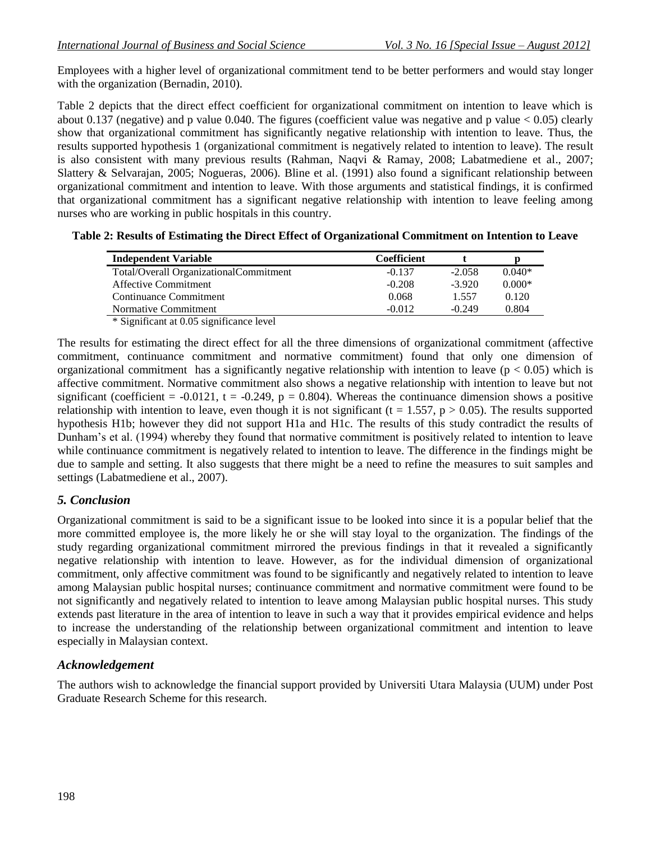Employees with a higher level of organizational commitment tend to be better performers and would stay longer with the organization (Bernadin, 2010).

Table 2 depicts that the direct effect coefficient for organizational commitment on intention to leave which is about 0.137 (negative) and p value 0.040. The figures (coefficient value was negative and p value  $< 0.05$ ) clearly show that organizational commitment has significantly negative relationship with intention to leave. Thus, the results supported hypothesis 1 (organizational commitment is negatively related to intention to leave). The result is also consistent with many previous results (Rahman, Naqvi & Ramay, 2008; Labatmediene et al., 2007; Slattery & Selvarajan, 2005; Nogueras, 2006). Bline et al. (1991) also found a significant relationship between organizational commitment and intention to leave. With those arguments and statistical findings, it is confirmed that organizational commitment has a significant negative relationship with intention to leave feeling among nurses who are working in public hospitals in this country.

|  |  | Table 2: Results of Estimating the Direct Effect of Organizational Commitment on Intention to Leave |
|--|--|-----------------------------------------------------------------------------------------------------|
|--|--|-----------------------------------------------------------------------------------------------------|

| Coefficient |          |          |
|-------------|----------|----------|
| $-0.137$    | $-2.058$ | $0.040*$ |
| $-0.208$    | $-3.920$ | $0.000*$ |
| 0.068       | 1.557    | 0.120    |
| $-0.012$    | $-0.249$ | 0.804    |
|             |          |          |

\* Significant at 0.05 significance level

The results for estimating the direct effect for all the three dimensions of organizational commitment (affective commitment, continuance commitment and normative commitment) found that only one dimension of organizational commitment has a significantly negative relationship with intention to leave ( $p < 0.05$ ) which is affective commitment. Normative commitment also shows a negative relationship with intention to leave but not significant (coefficient =  $-0.0121$ , t =  $-0.249$ , p = 0.804). Whereas the continuance dimension shows a positive relationship with intention to leave, even though it is not significant ( $t = 1.557$ ,  $p > 0.05$ ). The results supported hypothesis H1b; however they did not support H1a and H1c. The results of this study contradict the results of Dunham's et al. (1994) whereby they found that normative commitment is positively related to intention to leave while continuance commitment is negatively related to intention to leave. The difference in the findings might be due to sample and setting. It also suggests that there might be a need to refine the measures to suit samples and settings (Labatmediene et al., 2007).

### *5. Conclusion*

Organizational commitment is said to be a significant issue to be looked into since it is a popular belief that the more committed employee is, the more likely he or she will stay loyal to the organization. The findings of the study regarding organizational commitment mirrored the previous findings in that it revealed a significantly negative relationship with intention to leave. However, as for the individual dimension of organizational commitment, only affective commitment was found to be significantly and negatively related to intention to leave among Malaysian public hospital nurses; continuance commitment and normative commitment were found to be not significantly and negatively related to intention to leave among Malaysian public hospital nurses. This study extends past literature in the area of intention to leave in such a way that it provides empirical evidence and helps to increase the understanding of the relationship between organizational commitment and intention to leave especially in Malaysian context.

### *Acknowledgement*

The authors wish to acknowledge the financial support provided by Universiti Utara Malaysia (UUM) under Post Graduate Research Scheme for this research.